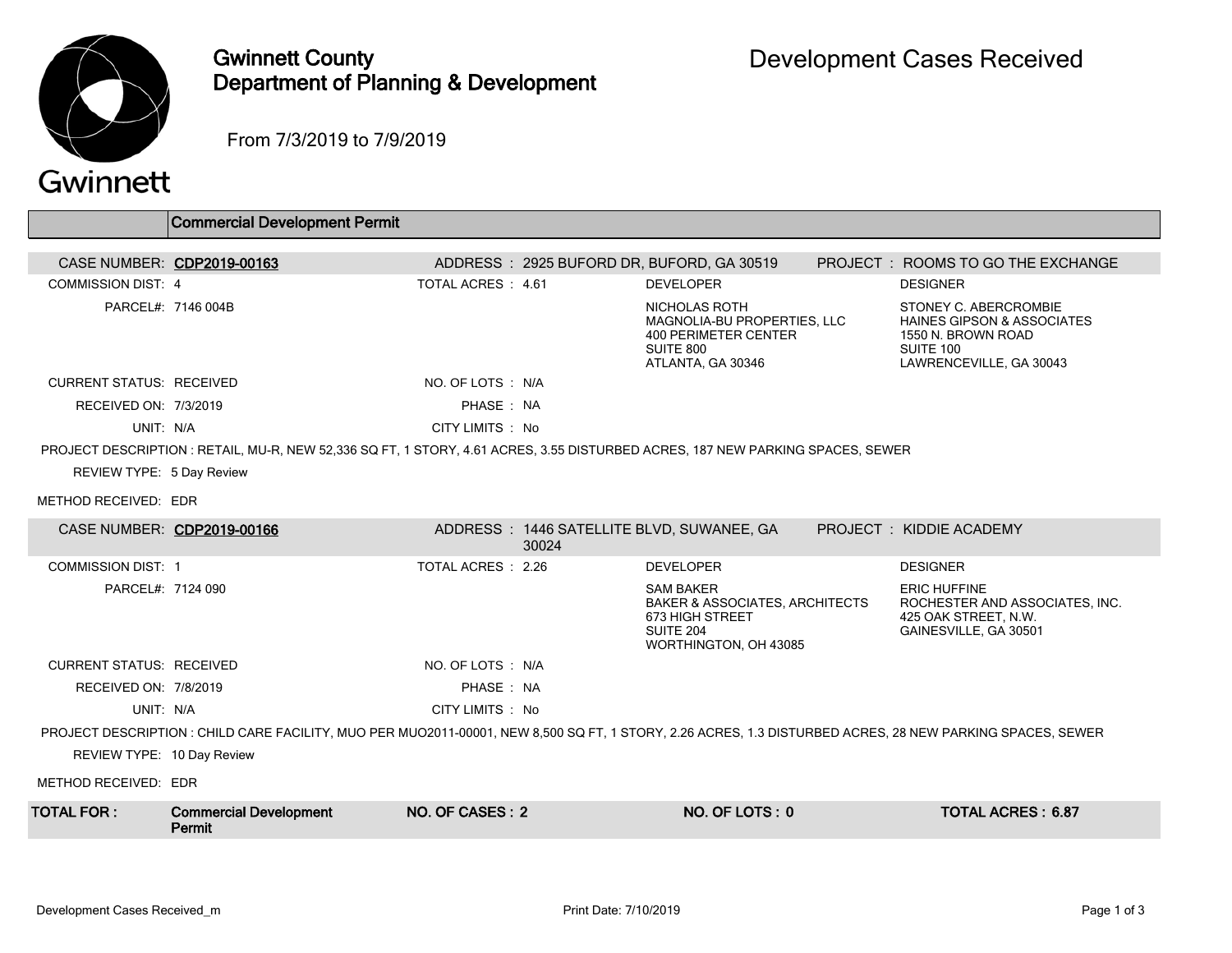

## Gwinnett County Department of Planning & Development

From 7/3/2019 to 7/9/2019

|                                                                                                                                                           | <b>Commercial Development Permit</b>    |                    |       |                                                                                                                        |  |                                                                                                                              |  |  |
|-----------------------------------------------------------------------------------------------------------------------------------------------------------|-----------------------------------------|--------------------|-------|------------------------------------------------------------------------------------------------------------------------|--|------------------------------------------------------------------------------------------------------------------------------|--|--|
| CASE NUMBER: CDP2019-00163                                                                                                                                |                                         |                    |       | ADDRESS: 2925 BUFORD DR, BUFORD, GA 30519                                                                              |  | PROJECT: ROOMS TO GO THE EXCHANGE                                                                                            |  |  |
| <b>COMMISSION DIST: 4</b>                                                                                                                                 |                                         | TOTAL ACRES : 4.61 |       | <b>DEVELOPER</b>                                                                                                       |  | <b>DESIGNER</b>                                                                                                              |  |  |
|                                                                                                                                                           | PARCEL#: 7146 004B                      |                    |       | NICHOLAS ROTH<br>MAGNOLIA-BU PROPERTIES, LLC<br><b>400 PERIMETER CENTER</b><br>SUITE 800<br>ATLANTA, GA 30346          |  | STONEY C. ABERCROMBIE<br><b>HAINES GIPSON &amp; ASSOCIATES</b><br>1550 N. BROWN ROAD<br>SUITE 100<br>LAWRENCEVILLE, GA 30043 |  |  |
| <b>CURRENT STATUS: RECEIVED</b>                                                                                                                           |                                         | NO. OF LOTS : N/A  |       |                                                                                                                        |  |                                                                                                                              |  |  |
| RECEIVED ON: 7/3/2019                                                                                                                                     |                                         | PHASE: NA          |       |                                                                                                                        |  |                                                                                                                              |  |  |
| UNIT: N/A                                                                                                                                                 |                                         | CITY LIMITS : No   |       |                                                                                                                        |  |                                                                                                                              |  |  |
| PROJECT DESCRIPTION : RETAIL, MU-R, NEW 52,336 SQ FT, 1 STORY, 4.61 ACRES, 3.55 DISTURBED ACRES, 187 NEW PARKING SPACES, SEWER                            |                                         |                    |       |                                                                                                                        |  |                                                                                                                              |  |  |
| REVIEW TYPE: 5 Day Review                                                                                                                                 |                                         |                    |       |                                                                                                                        |  |                                                                                                                              |  |  |
| METHOD RECEIVED: EDR                                                                                                                                      |                                         |                    |       |                                                                                                                        |  |                                                                                                                              |  |  |
|                                                                                                                                                           | CASE NUMBER: CDP2019-00166              |                    | 30024 | ADDRESS: 1446 SATELLITE BLVD, SUWANEE, GA                                                                              |  | PROJECT: KIDDIE ACADEMY                                                                                                      |  |  |
| <b>COMMISSION DIST: 1</b>                                                                                                                                 |                                         | TOTAL ACRES: 2.26  |       | <b>DEVELOPER</b>                                                                                                       |  | <b>DESIGNER</b>                                                                                                              |  |  |
| PARCEL#: 7124 090                                                                                                                                         |                                         |                    |       | <b>SAM BAKER</b><br><b>BAKER &amp; ASSOCIATES, ARCHITECTS</b><br>673 HIGH STREET<br>SUITE 204<br>WORTHINGTON, OH 43085 |  | <b>ERIC HUFFINE</b><br>ROCHESTER AND ASSOCIATES, INC.<br>425 OAK STREET. N.W.<br>GAINESVILLE, GA 30501                       |  |  |
| <b>CURRENT STATUS: RECEIVED</b>                                                                                                                           |                                         | NO. OF LOTS : N/A  |       |                                                                                                                        |  |                                                                                                                              |  |  |
| RECEIVED ON: 7/8/2019                                                                                                                                     |                                         | PHASE: NA          |       |                                                                                                                        |  |                                                                                                                              |  |  |
| UNIT: N/A                                                                                                                                                 |                                         | CITY LIMITS : No   |       |                                                                                                                        |  |                                                                                                                              |  |  |
| PROJECT DESCRIPTION : CHILD CARE FACILITY, MUO PER MUO2011-00001, NEW 8,500 SQ FT, 1 STORY, 2.26 ACRES, 1.3 DISTURBED ACRES, 28 NEW PARKING SPACES, SEWER |                                         |                    |       |                                                                                                                        |  |                                                                                                                              |  |  |
| REVIEW TYPE: 10 Day Review                                                                                                                                |                                         |                    |       |                                                                                                                        |  |                                                                                                                              |  |  |
| METHOD RECEIVED: EDR                                                                                                                                      |                                         |                    |       |                                                                                                                        |  |                                                                                                                              |  |  |
| <b>TOTAL FOR:</b>                                                                                                                                         | <b>Commercial Development</b><br>Permit | NO. OF CASES: 2    |       | NO. OF LOTS: 0                                                                                                         |  | <b>TOTAL ACRES: 6.87</b>                                                                                                     |  |  |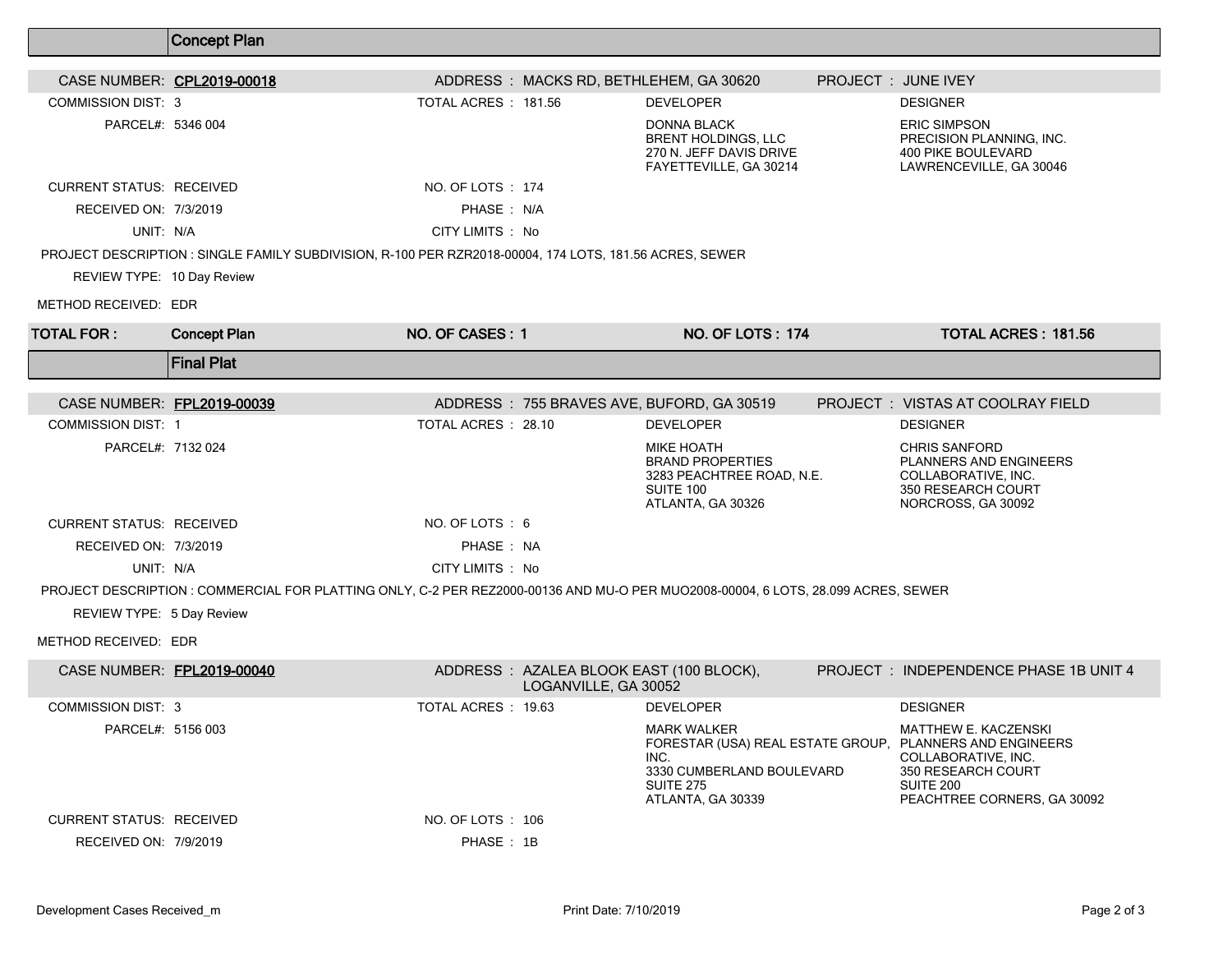|                                 | Concept Plan                                                                                                                      |                      |                      |                                                                                                             |                                                                                                                                                                           |
|---------------------------------|-----------------------------------------------------------------------------------------------------------------------------------|----------------------|----------------------|-------------------------------------------------------------------------------------------------------------|---------------------------------------------------------------------------------------------------------------------------------------------------------------------------|
| CASE NUMBER: CPL2019-00018      |                                                                                                                                   |                      |                      | ADDRESS: MACKS RD, BETHLEHEM, GA 30620                                                                      | PROJECT: JUNE IVEY                                                                                                                                                        |
| <b>COMMISSION DIST: 3</b>       |                                                                                                                                   | TOTAL ACRES : 181.56 |                      | <b>DEVELOPER</b>                                                                                            | <b>DESIGNER</b>                                                                                                                                                           |
| PARCEL#: 5346 004               |                                                                                                                                   |                      |                      | DONNA BLACK<br><b>BRENT HOLDINGS, LLC</b><br>270 N. JEFF DAVIS DRIVE<br>FAYETTEVILLE, GA 30214              | <b>ERIC SIMPSON</b><br>PRECISION PLANNING, INC.<br>400 PIKE BOULEVARD<br>LAWRENCEVILLE, GA 30046                                                                          |
| <b>CURRENT STATUS: RECEIVED</b> |                                                                                                                                   | NO. OF LOTS : 174    |                      |                                                                                                             |                                                                                                                                                                           |
| RECEIVED ON: 7/3/2019           |                                                                                                                                   | PHASE: N/A           |                      |                                                                                                             |                                                                                                                                                                           |
| UNIT: N/A                       |                                                                                                                                   | CITY LIMITS : No     |                      |                                                                                                             |                                                                                                                                                                           |
|                                 | PROJECT DESCRIPTION : SINGLE FAMILY SUBDIVISION, R-100 PER RZR2018-00004, 174 LOTS, 181.56 ACRES, SEWER                           |                      |                      |                                                                                                             |                                                                                                                                                                           |
| REVIEW TYPE: 10 Day Review      |                                                                                                                                   |                      |                      |                                                                                                             |                                                                                                                                                                           |
| METHOD RECEIVED: EDR            |                                                                                                                                   |                      |                      |                                                                                                             |                                                                                                                                                                           |
| TOTAL FOR :                     | <b>Concept Plan</b>                                                                                                               | NO. OF CASES: 1      |                      | <b>NO. OF LOTS: 174</b>                                                                                     | <b>TOTAL ACRES: 181.56</b>                                                                                                                                                |
|                                 | <b>Final Plat</b>                                                                                                                 |                      |                      |                                                                                                             |                                                                                                                                                                           |
| CASE NUMBER: FPL2019-00039      |                                                                                                                                   |                      |                      | ADDRESS: 755 BRAVES AVE, BUFORD, GA 30519                                                                   | PROJECT : VISTAS AT COOLRAY FIELD                                                                                                                                         |
| <b>COMMISSION DIST: 1</b>       |                                                                                                                                   | TOTAL ACRES : 28.10  |                      | <b>DEVELOPER</b>                                                                                            | <b>DESIGNER</b>                                                                                                                                                           |
| PARCEL#: 7132 024               |                                                                                                                                   |                      |                      | <b>MIKE HOATH</b><br><b>BRAND PROPERTIES</b><br>3283 PEACHTREE ROAD, N.E.<br>SUITE 100<br>ATLANTA, GA 30326 | <b>CHRIS SANFORD</b><br>PLANNERS AND ENGINEERS<br>COLLABORATIVE, INC.<br>350 RESEARCH COURT<br>NORCROSS, GA 30092                                                         |
| <b>CURRENT STATUS: RECEIVED</b> |                                                                                                                                   | NO. OF LOTS : 6      |                      |                                                                                                             |                                                                                                                                                                           |
| RECEIVED ON: 7/3/2019           |                                                                                                                                   | PHASE: NA            |                      |                                                                                                             |                                                                                                                                                                           |
| UNIT: N/A                       |                                                                                                                                   | CITY LIMITS : No     |                      |                                                                                                             |                                                                                                                                                                           |
|                                 | PROJECT DESCRIPTION : COMMERCIAL FOR PLATTING ONLY, C-2 PER REZ2000-00136 AND MU-O PER MUO2008-00004, 6 LOTS, 28.099 ACRES, SEWER |                      |                      |                                                                                                             |                                                                                                                                                                           |
| REVIEW TYPE: 5 Day Review       |                                                                                                                                   |                      |                      |                                                                                                             |                                                                                                                                                                           |
| METHOD RECEIVED: EDR            |                                                                                                                                   |                      |                      |                                                                                                             |                                                                                                                                                                           |
| CASE NUMBER: FPL2019-00040      |                                                                                                                                   |                      | LOGANVILLE, GA 30052 | ADDRESS: AZALEA BLOOK EAST (100 BLOCK),                                                                     | PROJECT : INDEPENDENCE PHASE 1B UNIT 4                                                                                                                                    |
| <b>COMMISSION DIST: 3</b>       |                                                                                                                                   | TOTAL ACRES : 19.63  |                      | <b>DEVELOPER</b>                                                                                            | <b>DESIGNER</b>                                                                                                                                                           |
| PARCEL#: 5156 003               |                                                                                                                                   |                      |                      | <b>MARK WALKER</b><br>INC.<br>3330 CUMBERLAND BOULEVARD<br><b>SUITE 275</b><br>ATLANTA, GA 30339            | MATTHEW E. KACZENSKI<br>FORESTAR (USA) REAL ESTATE GROUP, PLANNERS AND ENGINEERS<br>COLLABORATIVE. INC.<br>350 RESEARCH COURT<br>SUITE 200<br>PEACHTREE CORNERS, GA 30092 |
| <b>CURRENT STATUS: RECEIVED</b> |                                                                                                                                   | NO. OF LOTS: 106     |                      |                                                                                                             |                                                                                                                                                                           |
| RECEIVED ON: 7/9/2019           |                                                                                                                                   | PHASE: 1B            |                      |                                                                                                             |                                                                                                                                                                           |
|                                 |                                                                                                                                   |                      |                      |                                                                                                             |                                                                                                                                                                           |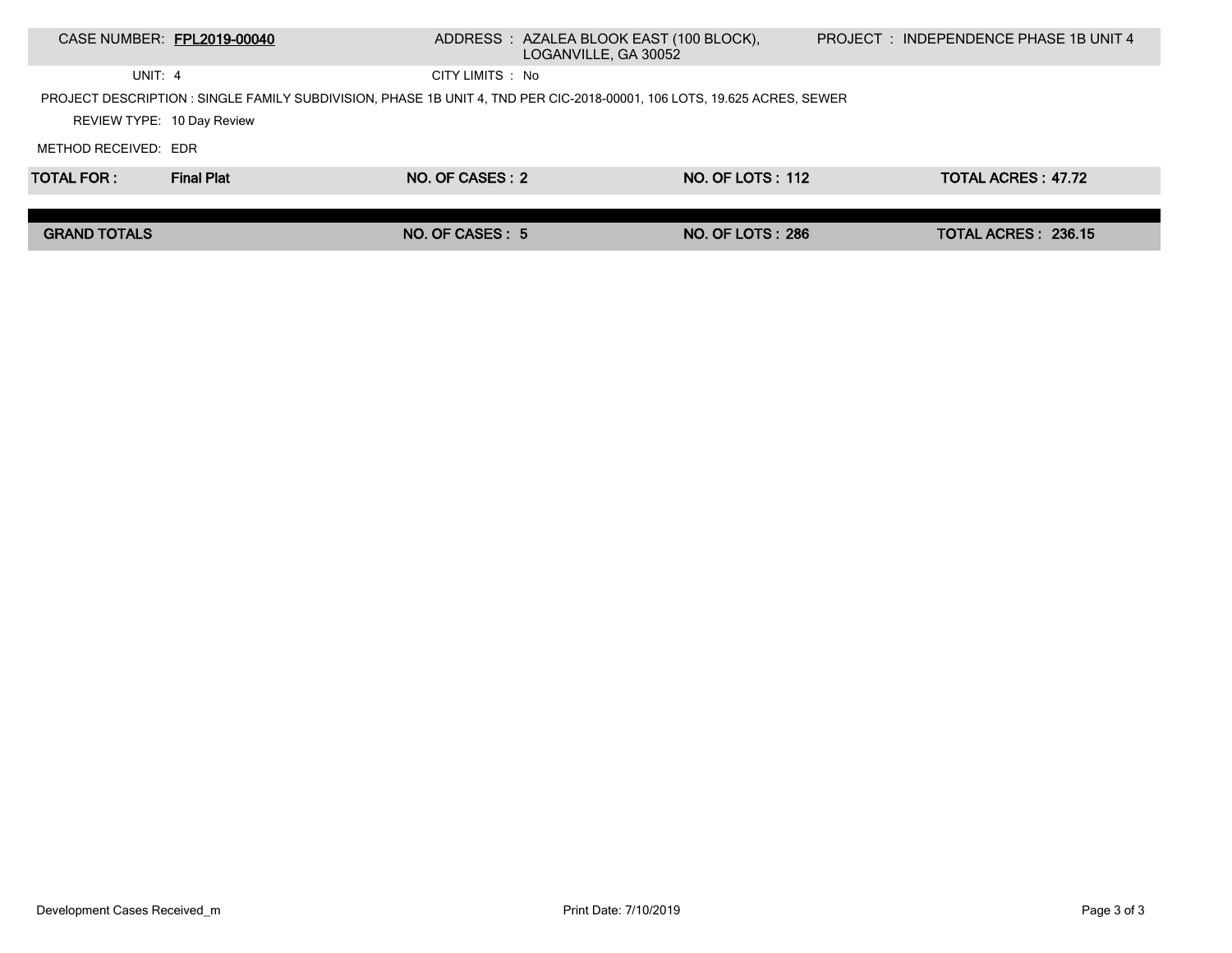| CASE NUMBER: FPL2019-00040<br>PROJECT: INDEPENDENCE PHASE 1B UNIT 4<br>ADDRESS : AZALEA BLOOK EAST (100 BLOCK),<br>LOGANVILLE, GA 30052<br>UNIT: $4$<br>CITY LIMITS No<br>PROJECT DESCRIPTION : SINGLE FAMILY SUBDIVISION, PHASE 1B UNIT 4, TND PER CIC-2018-00001, 106 LOTS, 19.625 ACRES, SEWER<br>REVIEW TYPE: 10 Day Review<br>METHOD RECEIVED: EDR<br>NO. OF CASES: 2<br><b>Final Plat</b><br><b>NO. OF LOTS: 112</b><br><b>TOTAL ACRES: 47.72</b><br>NO. OF CASES: 5<br><b>NO. OF LOTS: 286</b><br><b>GRAND TOTALS</b><br>TOTAL ACRES: 236.15 |                   |  |  |  |  |
|-----------------------------------------------------------------------------------------------------------------------------------------------------------------------------------------------------------------------------------------------------------------------------------------------------------------------------------------------------------------------------------------------------------------------------------------------------------------------------------------------------------------------------------------------------|-------------------|--|--|--|--|
|                                                                                                                                                                                                                                                                                                                                                                                                                                                                                                                                                     |                   |  |  |  |  |
|                                                                                                                                                                                                                                                                                                                                                                                                                                                                                                                                                     |                   |  |  |  |  |
|                                                                                                                                                                                                                                                                                                                                                                                                                                                                                                                                                     |                   |  |  |  |  |
|                                                                                                                                                                                                                                                                                                                                                                                                                                                                                                                                                     |                   |  |  |  |  |
|                                                                                                                                                                                                                                                                                                                                                                                                                                                                                                                                                     |                   |  |  |  |  |
|                                                                                                                                                                                                                                                                                                                                                                                                                                                                                                                                                     | <b>TOTAL FOR:</b> |  |  |  |  |
|                                                                                                                                                                                                                                                                                                                                                                                                                                                                                                                                                     |                   |  |  |  |  |
|                                                                                                                                                                                                                                                                                                                                                                                                                                                                                                                                                     |                   |  |  |  |  |